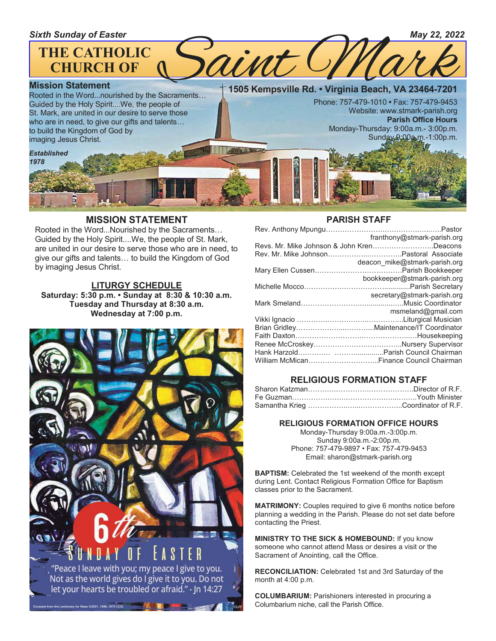

### **MISSION STATEMENT**

Rooted in the Word...Nourished by the Sacraments… Guided by the Holy Spirit....We, the people of St. Mark, are united in our desire to serve those who are in need, to give our gifts and talents… to build the Kingdom of God by imaging Jesus Christ.

### **LITURGY SCHEDULE**

**Saturday: 5:30 p.m. • Sunday at 8:30 & 10:30 a.m. Tuesday and Thursday at 8:30 a.m. Wednesday at 7:00 p.m.**



### **PARISH STAFF**

| franthony@stmark-parish.org               |
|-------------------------------------------|
| Revs. Mr. Mike Johnson & John KrenDeacons |
|                                           |
| deacon mike@stmark-parish.org             |
|                                           |
| bookkeeper@stmark-parish.org              |
|                                           |
| secretary@stmark-parish.org               |
|                                           |
| msmeland@gmail.com                        |
|                                           |
|                                           |
|                                           |
|                                           |
|                                           |
|                                           |
|                                           |

### **RELIGIOUS FORMATION STAFF**

### **RELIGIOUS FORMATION OFFICE HOURS**

Monday-Thursday 9:00a.m.-3:00p.m. Sunday 9:00a.m.-2:00p.m. Phone: 757-479-9897 • Fax: 757-479-9453 Email: sharon@stmark-parish.org

**BAPTISM:** Celebrated the 1st weekend of the month except during Lent. Contact Religious Formation Office for Baptism classes prior to the Sacrament.

**MATRIMONY:** Couples required to give 6 months notice before planning a wedding in the Parish. Please do not set date before contacting the Priest.

**MINISTRY TO THE SICK & HOMEBOUND:** If you know someone who cannot attend Mass or desires a visit or the Sacrament of Anointing, call the Office.

**RECONCILIATION:** Celebrated 1st and 3rd Saturday of the month at 4:00 p.m.

**COLUMBARIUM:** Parishioners interested in procuring a Columbarium niche, call the Parish Office.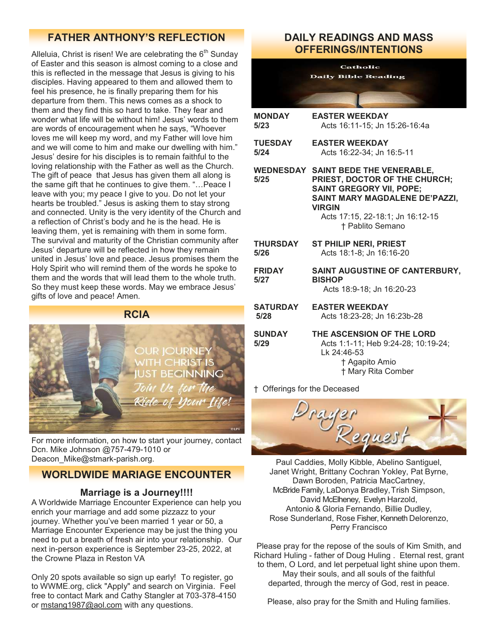## **FATHER ANTHONY'S REFLECTION**

Alleluia, Christ is risen! We are celebrating the  $6<sup>th</sup>$  Sunday of Easter and this season is almost coming to a close and this is reflected in the message that Jesus is giving to his disciples. Having appeared to them and allowed them to feel his presence, he is finally preparing them for his departure from them. This news comes as a shock to them and they find this so hard to take. They fear and wonder what life will be without him! Jesus' words to them are words of encouragement when he says, "Whoever loves me will keep my word, and my Father will love him and we will come to him and make our dwelling with him." Jesus' desire for his disciples is to remain faithful to the loving relationship with the Father as well as the Church. The gift of peace that Jesus has given them all along is the same gift that he continues to give them. "…Peace I leave with you; my peace I give to you. Do not let your hearts be troubled." Jesus is asking them to stay strong and connected. Unity is the very identity of the Church and a reflection of Christ's body and he is the head. He is leaving them, yet is remaining with them in some form. The survival and maturity of the Christian community after Jesus' departure will be reflected in how they remain united in Jesus' love and peace. Jesus promises them the Holy Spirit who will remind them of the words he spoke to them and the words that will lead them to the whole truth. So they must keep these words. May we embrace Jesus' gifts of love and peace! Amen.



For more information, on how to start your journey, contact Dcn. Mike Johnson @757-479-1010 or Deacon Mike@stmark-parish.org.

## **WORLDWIDE MARIAGE ENCOUNTER**

### **Marriage is a Journey!!!!**

A Worldwide Marriage Encounter Experience can help you enrich your marriage and add some pizzazz to your journey. Whether you've been married 1 year or 50, a Marriage Encounter Experience may be just the thing you need to put a breath of fresh air into your relationship. Our next in-person experience is September 23-25, 2022, at the Crowne Plaza in Reston VA

Only 20 spots available so sign up early! To register, go to WWME.org, click "Apply" and search on Virginia. Feel free to contact Mark and Cathy Stangler at 703-378-4150 or [mstang1987@aol.com](mailto:mstang1987@aol.com) with any questions.

## **DAILY READINGS AND MASS OFFERINGS/INTENTIONS**

**Catholic Daily Bible Reading MONDAY EASTER WEEKDAY 5/23** Acts 16:11-15; Jn 15:26-16:4a **TUESDAY EASTER WEEKDAY 5/24** Acts 16:22-34; Jn 16:5-11 **WEDNESDAY SAINT BEDE THE VENERABLE, 5/25 PRIEST, DOCTOR OF THE CHURCH; SAINT GREGORY VII, POPE; SAINT MARY MAGDALENE DE'PAZZI, VIRGIN** Acts 17:15, 22-18:1; Jn 16:12-15 † Pablito Semano **THURSDAY ST PHILIP NERI, PRIEST 5/26** Acts 18:1-8; Jn 16:16-20 **FRIDAY SAINT AUGUSTINE OF CANTERBURY, 5/27 BISHOP** Acts 18:9-18; Jn 16:20-23 **SATURDAY EASTER WEEKDAY 5/28** Acts 18:23-28; Jn 16:23b-28 **SUNDAY THE ASCENSION OF THE LORD**<br>5/29 **Acts 1:1-11: Heb 9:24-28: 10:19 5/29** Acts 1:1-11; Heb 9:24-28; 10:19-24; Lk 24:46-53 † Agapito Amio † Mary Rita Comber

† Offerings for the Deceased



Paul Caddies, Molly Kibble, Abelino Santiguel, Janet Wright, Brittany Cochran Yokley, Pat Byrne, Dawn Boroden, Patricia MacCartney, McBride Family, LaDonya Bradley, Trish Simpson, David McElheney, Evelyn Harzold, Antonio & Gloria Fernando, Billie Dudley, Rose Sunderland, Rose Fisher, Kenneth Delorenzo, Perry Francisco

Please pray for the repose of the souls of Kim Smith, and Richard Huling - father of Doug Huling . Eternal rest, grant to them, O Lord, and let perpetual light shine upon them. May their souls, and all souls of the faithful departed, through the mercy of God, rest in peace.

Please, also pray for the Smith and Huling families.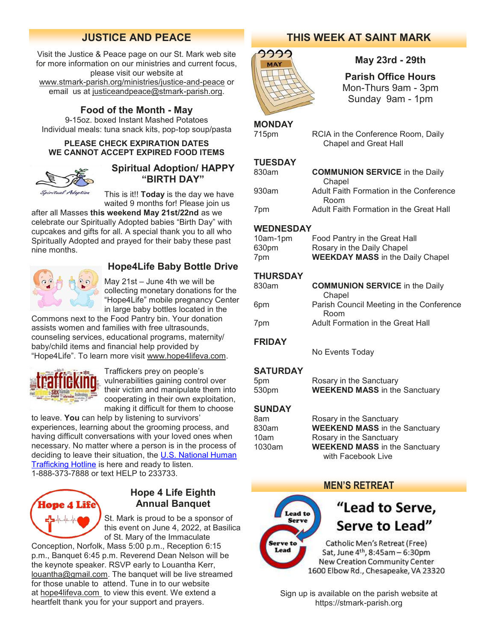## **JUSTICE AND PEACE**

Visit the Justice & Peace page on our St. Mark web site for more information on our ministries and current focus, please visit our website at [www.stmark-parish.org/ministries/justice-and-peace](file:///C:/Users/Nanna/Desktop/www.stmark-parish.org/ministries/justice-and-peace) or email us at [justiceandpeace@stmark-parish.org.](mailto:justiceandpeace@stmark-parish.org)

## **Food of the Month - May**

9-15oz. boxed Instant Mashed Potatoes Individual meals: tuna snack kits, pop-top soup/pasta

### **PLEASE CHECK EXPIRATION DATES WE CANNOT ACCEPT EXPIRED FOOD ITEMS**



## **Spiritual Adoption/ HAPPY "BIRTH DAY"**

This is it!! **Today** is the day we have waited 9 months for! Please join us

after all Masses **this weekend May 21st/22nd** as we celebrate our Spiritually Adopted babies "Birth Day" with cupcakes and gifts for all. A special thank you to all who Spiritually Adopted and prayed for their baby these past nine months.



## **Hope4Life Baby Bottle Drive**

May 21st – June 4th we will be collecting monetary donations for the "Hope4Life" mobile pregnancy Center in large baby bottles located in the

Commons next to the Food Pantry bin. Your donation assists women and families with free ultrasounds, counseling services, educational programs, maternity/ baby/child items and financial help provided by "Hope4Life". To learn more visit [www.hope4lifeva.com.](http://www.hope4lifeva.com)



Traffickers prey on people's vulnerabilities gaining control over their victim and manipulate them into cooperating in their own exploitation, making it difficult for them to choose

to leave. **You** can help by listening to survivors' experiences, learning about the grooming process, and having difficult conversations with your loved ones when necessary. No matter where a person is in the process of deciding to leave their situation, the [U.S. National Human](http://www.humantraffickinghotline.org/)  [Trafficking Hotline](http://www.humantraffickinghotline.org/) is here and ready to listen. 1-888-373-7888 or text HELP to 233733.



## **Hope 4 Life Eighth Annual Banquet**

St. Mark is proud to be a sponsor of this event on June 4, 2022, at Basilica of St. Mary of the Immaculate

Conception, Norfolk, Mass 5:00 p.m., Reception 6:15 p.m., Banquet 6:45 p.m. Reverend Dean Nelson will be the keynote speaker. RSVP early to Louantha Kerr, [louantha@gmail.com.](mailto:louantha@gmail.com) The banquet will be live streamed for those unable to attend. Tune in to our website at [hope4lifeva.com](http://hope4lifeva.com/) to view this event. We extend a heartfelt thank you for your support and prayers.

## **THIS WEEK AT SAINT MARK**



## **May 23rd - 29th**

**Parish Office Hours** Mon-Thurs 9am - 3pm Sunday 9am - 1pm

### **MONDAY**

715pm RCIA in the Conference Room, Daily Chapel and Great Hall

### **TUESDAY**

| 830am | <b>COMMUNION SERVICE</b> in the Daily   |
|-------|-----------------------------------------|
|       | Chapel                                  |
| 930am | Adult Faith Formation in the Conference |
|       | Room                                    |
| 7pm   | Adult Faith Formation in the Great Hall |

### **WEDNESDAY**

| 10am-1pm | Food Pantry in the Great Hall           |
|----------|-----------------------------------------|
| 630pm    | Rosary in the Daily Chapel              |
| 7pm      | <b>WEEKDAY MASS</b> in the Daily Chapel |

### **THURSDAY**

| 830am | <b>COMMUNION SERVICE</b> in the Daily    |
|-------|------------------------------------------|
|       | Chapel                                   |
| 6pm   | Parish Council Meeting in the Conference |
|       | Room                                     |
| 7pm   | Adult Formation in the Great Hall        |
|       |                                          |

### **FRIDAY**

No Events Today

### **SATURDAY**

| 5pm   | Rosary in the Sanctuary              |  |
|-------|--------------------------------------|--|
| 530pm | <b>WEEKEND MASS</b> in the Sanctuary |  |

### **SUNDAY**

| Rosary in the Sanctuary              |
|--------------------------------------|
| <b>WEEKEND MASS in the Sanctuary</b> |
| Rosary in the Sanctuary              |
| <b>WEEKEND MASS in the Sanctuary</b> |
| with Facebook Live                   |
|                                      |

## **MEN'S RETREAT**



# "Lead to Serve, Serve to Lead"

Catholic Men's Retreat (Free) Sat, June 4<sup>th</sup>, 8:45am - 6:30pm **New Creation Community Center** 1600 Elbow Rd., Chesapeake, VA 23320

Sign up is available on the parish website at https://stmark-parish.org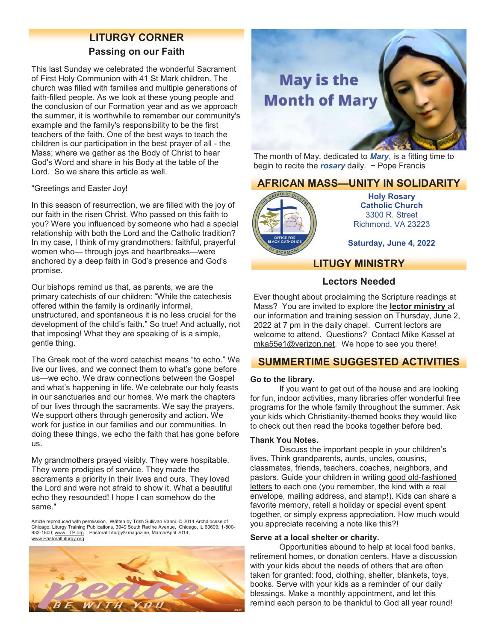# **LITURGY CORNER**

### **Passing on our Faith**

This last Sunday we celebrated the wonderful Sacrament of First Holy Communion with 41 St Mark children. The church was filled with families and multiple generations of faith-filled people. As we look at these young people and the conclusion of our Formation year and as we approach the summer, it is worthwhile to remember our community's example and the family's responsibility to be the first teachers of the faith. One of the best ways to teach the children is our participation in the best prayer of all - the Mass; where we gather as the Body of Christ to hear God's Word and share in his Body at the table of the Lord. So we share this article as well.

"Greetings and Easter Joy!

In this season of resurrection, we are filled with the joy of our faith in the risen Christ. Who passed on this faith to you? Were you influenced by someone who had a special relationship with both the Lord and the Catholic tradition? In my case, I think of my grandmothers: faithful, prayerful women who— through joys and heartbreaks—were anchored by a deep faith in God's presence and God's promise.

Our bishops remind us that, as parents, we are the primary catechists of our children: "While the catechesis offered within the family is ordinarily informal, unstructured, and spontaneous it is no less crucial for the development of the child's faith." So true! And actually, not that imposing! What they are speaking of is a simple, gentle thing.

The Greek root of the word catechist means "to echo." We live our lives, and we connect them to what's gone before us—we echo. We draw connections between the Gospel and what's happening in life. We celebrate our holy feasts in our sanctuaries and our homes. We mark the chapters of our lives through the sacraments. We say the prayers. We support others through generosity and action. We work for justice in our families and our communities. In doing these things, we echo the faith that has gone before us.

My grandmothers prayed visibly. They were hospitable. They were prodigies of service. They made the sacraments a priority in their lives and ours. They loved the Lord and were not afraid to show it. What a beautiful echo they resounded! I hope I can somehow do the same."

Article reproduced with permission. Written by Trish Sullivan Vanni. © 2014 Archdiocese of Chicago: Liturgy Training Publications, 3949 South Racine Avenue, Chicago, IL 60609; 1-800 933-1800; [www.LTP.org.](http://www.LTP.org) Pastoral Liturgy® magazine, March/April 2014, [www.PastoralLiturgy.org.](http://www.PastoralLiturgy.org) 





The month of May, dedicated to *Mary*, is a fitting time to begin to recite the *rosary* daily. ~ Pope Francis

## **AFRICAN MASS—UNITY IN SOLIDARITY**



**Holy Rosary Catholic Church** 3300 R. Street Richmond, VA 23223

**Saturday, June 4, 2022**

## **LITUGY MINISTRY**

### **Lectors Needed**

Ever thought about proclaiming the Scripture readings at Mass? You are invited to explore the **lector ministry** at our information and training session on Thursday, June 2, 2022 at 7 pm in the daily chapel. Current lectors are welcome to attend. Questions? Contact Mike Kassel at [mka55e1@verizon.net.](mailto:mka55e1@verizon.net) We hope to see you there!

## **SUMMERTIME SUGGESTED ACTIVITIES**

### **Go to the library.**

If you want to get out of the house and are looking for fun, indoor activities, many libraries offer wonderful free programs for the whole family throughout the summer. Ask your kids which Christianity-themed books they would like to check out then read the books together before bed.

### **Thank You Notes.**

Discuss the important people in your children's lives. Think grandparents, aunts, uncles, cousins, classmates, friends, teachers, coaches, neighbors, and pastors. Guide your children in writing [good old-fashioned](http://readthearc.com/5-letter-writing-prompts-for-kids-plus-free-stationary-printable/)  [letters](http://readthearc.com/5-letter-writing-prompts-for-kids-plus-free-stationary-printable/) to each one (you remember, the kind with a real envelope, mailing address, and stamp!). Kids can share a favorite memory, retell a holiday or special event spent together, or simply express appreciation. How much would you appreciate receiving a note like this?!

### **Serve at a local shelter or charity.**

Opportunities abound to help at local food banks, retirement homes, or donation centers. Have a discussion with your kids about the needs of others that are often taken for granted: food, clothing, shelter, blankets, toys, books. Serve with your kids as a reminder of our daily blessings. Make a monthly appointment, and let this remind each person to be thankful to God all year round!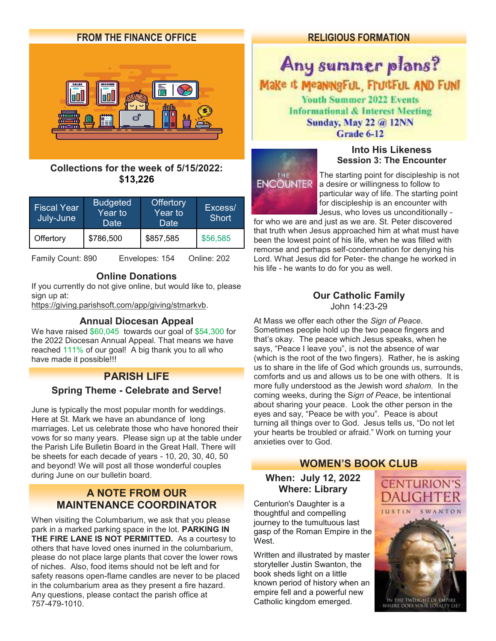

## **Collections for the week of 5/15/2022: \$13,226**

| <b>Fiscal Year</b><br>July-June | <b>Budgeted</b><br>$\overline{\text{Year}}$ to $\overline{\text{}'}$<br>Date | <b>Offertory</b><br>$\overline{\mathsf{Year}}$ to<br>Date | Excess/<br><b>Short</b> |
|---------------------------------|------------------------------------------------------------------------------|-----------------------------------------------------------|-------------------------|
| Offertory                       | \$786,500                                                                    | \$857,585                                                 | \$56,585                |

Family Count: 890 Envelopes: 154 Online: 202

## **Online Donations**

If you currently do not give online, but would like to, please sign up at:

[https://giving.parishsoft.com/app/giving/stmarkvb.](https://giving.parishsoft.com/app/giving/stmarkvb)

### **Annual Diocesan Appeal**

We have raised \$60,045 towards our goal of \$54,300 for the 2022 Diocesan Annual Appeal. That means we have reached 111% of our goal! A big thank you to all who have made it possible!!!

## **PARISH LIFE**

## **Spring Theme - Celebrate and Serve!**

June is typically the most popular month for weddings. Here at St. Mark we have an abundance of long marriages. Let us celebrate those who have honored their vows for so many years. Please sign up at the table under the Parish Life Bulletin Board in the Great Hall. There will be sheets for each decade of years - 10, 20, 30, 40, 50 and beyond! We will post all those wonderful couples during June on our bulletin board.

## **A NOTE FROM OUR MAINTENANCE COORDINATOR**

When visiting the Columbarium, we ask that you please park in a marked parking space in the lot. **PARKING IN THE FIRE LANE IS NOT PERMITTED.** As a courtesy to others that have loved ones inurned in the columbarium, please do not place large plants that cover the lower rows of niches. Also, food items should not be left and for safety reasons open-flame candles are never to be placed in the columbarium area as they present a fire hazard. Any questions, please contact the parish office at 757-479-1010.

## **RELIGIOUS FORMATION**

## Any summer plans? Make it MeaningFul, FruitFul AND FUNT **Youth Summer 2022 Events Informational & Interest Meeting** Sunday, May 22 @ 12NN Grade 6-12



**Into His Likeness Session 3: The Encounter**

The starting point for discipleship is not a desire or willingness to follow to particular way of life. The starting point for discipleship is an encounter with Jesus, who loves us unconditionally -

for who we are and just as we are. St. Peter discovered that truth when Jesus approached him at what must have been the lowest point of his life, when he was filled with remorse and perhaps self-condemnation for denying his Lord. What Jesus did for Peter- the change he worked in his life - he wants to do for you as well.

### **Our Catholic Family** John 14:23-29

At Mass we offer each other the *Sign of Peace.* Sometimes people hold up the two peace fingers and that's okay. The peace which Jesus speaks, when he says, "Peace I leave you", is not the absence of war (which is the root of the two fingers). Rather, he is asking us to share in the life of God which grounds us, surrounds, comforts and us and allows us to be one with others. It is more fully understood as the Jewish word *shalom.* In the coming weeks, during the S*ign of Peace*, be intentional about sharing your peace. Look the other person in the eyes and say, "Peace be with you". Peace is about turning all things over to God. Jesus tells us, "Do not let your hearts be troubled or afraid." Work on turning your anxieties over to God.

## **WOMEN'S BOOK CLUB**

## **When: July 12, 2022 Where: Library**

Centurion's Daughter is a thoughtful and compelling journey to the tumultuous last gasp of the Roman Empire in the West.

Written and illustrated by master storyteller Justin Swanton, the book sheds light on a little known period of history when an empire fell and a powerful new Catholic kingdom emerged.